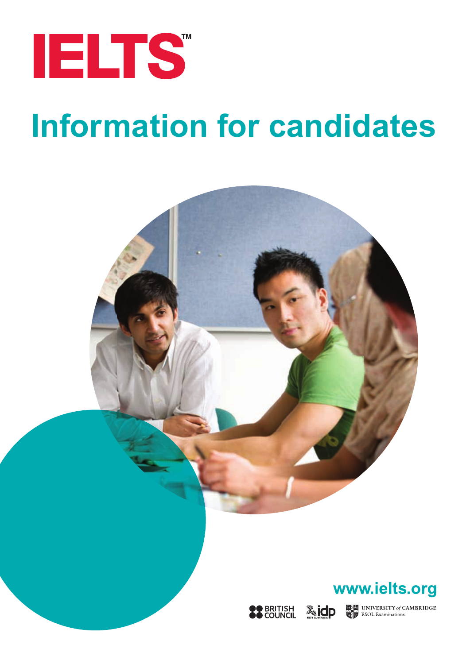

# **Information for candidates**

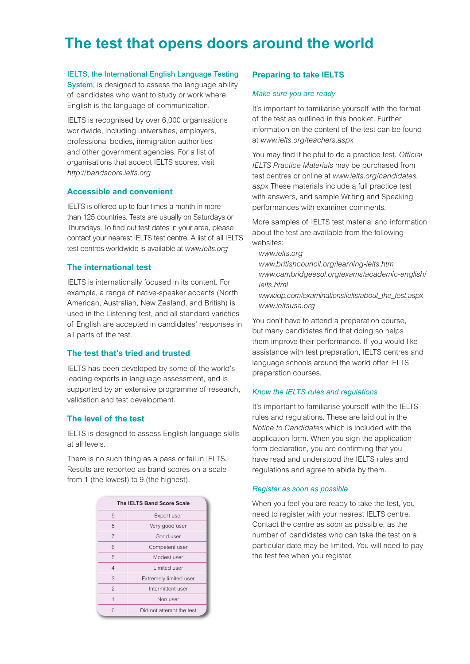# **The test that opens doors around the world**

System, is designed to assess the language ability<br>of condidates who want to study crywally where of candidates who want to study or work where English is the language of communication.

IELTS is recognised by over 6,000 organisations worldwide, including universities, employers, professional bodies, immigration authorities and other government agencies. For a list of organisations that accept IELTS scores, visit *http:*//*bandscore.ielts.org*

#### **Accessible and convenient**

IELTS is offered up to four times a month in more than 125 countries. Tests are usually on Saturdays or Thursdays. To find out test dates in your area, please contact your nearest IELTS test centre. A list of all IELTS test centres worldwide is available at *www.ielts.org*

#### **The international test**

IELTS is internationally focused in its content. For example, a range of native-speaker accents (North American, Australian, New Zealand, and British) is used in the Listening test, and all standard varieties of English are accepted in candidates' responses in all parts of the test.

#### **The test that's tried and trusted**

IELTS has been developed by some of the world's leading experts in language assessment, and is supported by an extensive programme of research, validation and test development.

#### **The level of the test**

IELTS is designed to assess English language skills at all levels.

There is no such thing as a pass or fail in IELTS. Results are reported as band scores on a scale from 1 (the lowest) to 9 (the highest).

| The IELTS Band Score Scale |                          |
|----------------------------|--------------------------|
| 9                          | Expert user              |
| 8                          | Very good user           |
| 7                          | Good user                |
| 6                          | Competent user           |
| 5                          | Modest user              |
| 4                          | Limited user             |
| 3                          | Extremely limited user   |
| $\mathfrak{p}$             | Intermittent user        |
|                            | Non user                 |
|                            | Did not attempt the test |

#### **Preparing to take IELTS**

#### *Make sure you are ready*

It's important to familiarise yourself with the format of the test as outlined in this booklet. Further information on the content of the test can be found at *www.ielts.org/teachers.aspx*

You may find it helpful to do a practice test. Official *IELTS Practice Materials* may be purchased from test centres or online at *www.ielts.org/candidates. aspx* [These materials include a full practice test](www.ielts.org/candidates.aspx)  with answers, and sample Writing and Speaking performances with examiner comments.

More samples of IELTS test material and information about the test are available from the following websites:

*www.ielts.org*

*www.britishcouncil.org/learning-ielts.htm [www.cambridgeesol.org/exams/academic-english/](www.cambridgeesol.org/exams/academic-english/ielts.html) ielts.html www.idp.com/examinations/ielts/about\_the\_test.aspx www.ieltsusa.org*

You don't have to attend a preparation course, but many candidates find that doing so helps them improve their performance. If you would like assistance with test preparation, IELTS centres and language schools around the world offer IELTS preparation courses.

#### *Know the IELTS rules and regulations*

It's important to familiarise yourself with the IELTS rules and regulations. These are laid out in the *Notice to Candidates* which is included with the application form. When you sign the application form declaration, you are confirming that you have read and understood the IELTS rules and regulations and agree to abide by them.

#### *Register as soon as possible*

When you feel you are ready to take the test, you need to register with your nearest IELTS centre. Contact the centre as soon as possible, as the number of candidates who can take the test on a particular date may be limited. You will need to pay the test fee when you register.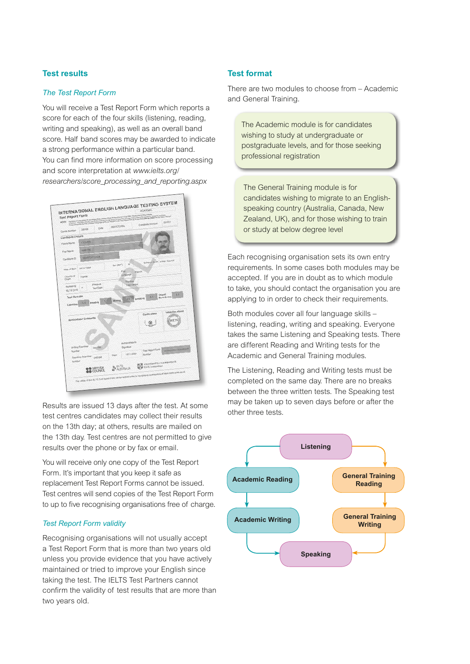#### **Test results**

#### *The Test Report Form*

You will receive a Test Report Form which reports a score for each of the four skills (listening, reading, writing and speaking), as well as an overall band score. Half band scores may be awarded to indicate a strong performance within a particular band. You can find more information on score processing and score interpretation at *www.ielts.org/ [researchers/score\\_processing\\_and\\_reporting.aspx](www.ielts.org/researchers/score_processing_and_reporting.aspx)*



Results are issued 13 days after the test. At some test centres candidates may collect their results on the 13th day; at others, results are mailed on the 13th day. Test centres are not permitted to give results over the phone or by fax or email.

You will receive only one copy of the Test Report Form. It's important that you keep it safe as replacement Test Report Forms cannot be issued. Test centres will send copies of the Test Report Form to up to five recognising organisations free of charge.

#### *Test Report Form validity*

Recognising organisations will not usually accept a Test Report Form that is more than two years old unless you provide evidence that you have actively maintained or tried to improve your English since taking the test. The IELTS Test Partners cannot confirm the validity of test results that are more than two years old.

#### **Test format**

There are two modules to choose from – Academic and General Training.

The Academic module is for candidates wishing to study at undergraduate or postgraduate levels, and for those seeking professional registration

The General Training module is for candidates wishing to migrate to an Englishspeaking country (Australia, Canada, New Zealand, UK), and for those wishing to train or study at below degree level

Each recognising organisation sets its own entry requirements. In some cases both modules may be accepted. If you are in doubt as to which module to take, you should contact the organisation you are applying to in order to check their requirements.

Both modules cover all four language skills – listening, reading, writing and speaking. Everyone takes the same Listening and Speaking tests. There are different Reading and Writing tests for the Academic and General Training modules.

The Listening, Reading and Writing tests must be completed on the same day. There are no breaks between the three written tests. The Speaking test may be taken up to seven days before or after the other three tests.

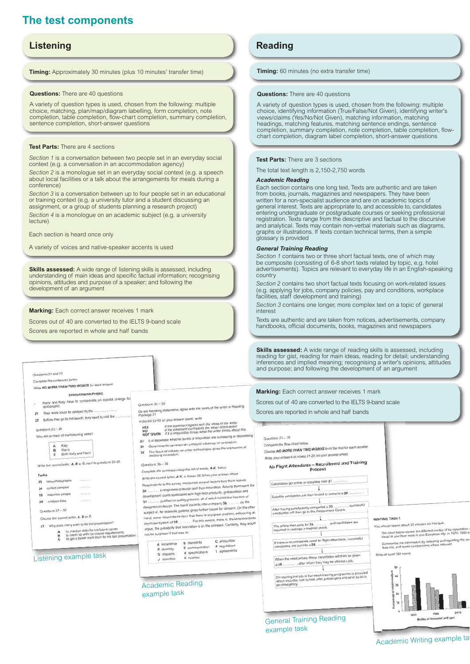# **The test components**

### **Listening Reading Reading**

**Timing:** Approximately 30 minutes (plus 10 minutes' transfer time)

**Questions:** There are 40 questions

A variety of question types is used, chosen from the following: multiple choice, matching, plan/map/diagram labelling, form completion, note completion, table completion, flow-chart completion, summary completion, sentence completion, short-answer questions

#### **Test Parts:** There are 4 sections

*Section 1* is a conversation between two people set in an everyday social context (e.g. a conversation in an accommodation agency)

*Section 2* is a monologue set in an everyday social context (e.g. a speech about local facilities or a talk about the arrangements for meals during a conference)

*Section 3* is a conversation between up to four people set in an educational or training context (e.g. a university tutor and a student discussing an assignment, or a group of students planning a research project)

*Section 4* is a monologue on an academic subject (e.g. a university lecture)

Each section is heard once only

A variety of voices and native-speaker accents is used

**Skills assessed:** A wide range of listening skills is assessed, including understanding of main ideas and specific factual information; recognising opinions, attitudes and purpose of a speaker; and following the development of an argument

**Marking:** Each correct answer receives 1 mark

Scores out of 40 are converted to the IELTS 9-band scale

Scores are reported in whole and half bands

#### reading for gist, reading for main ideas, reading for detail; understanding inferences and implied meaning; recognising a writer's opinions, attitudes and purpose; and following the development of an argument Questions 21 and 22 mplete the sentences below Complete the sentences percent.<br>Write NO MORE THAN TWO WORDS for each answer. **Marking:** Each correct answer receives 1 mark Environmental Project<br>Harry and Katy have to concentrate on coastal change fo<br>next project. **Environmental Project** Scores out of 40 are converted to the IELTS 9-band scale  $Quartions 33 - 35$ Questions  $33 - 35$ <br>Do the following statements agree with the views of the writer in Reading<br>Passage 37 next project.<br>21 Their work could be delayed by the ... Scores are reported in whole and half bands 21 Their work could be using you by the same to visit the Passage 37<br>In boxes 33-35 on your answer sheet, write  $r$ inns  $23 - 26$ Who will do each of the following tasks? NOT GIVEN if it is impossible to say what the writer minks about the<br>33 It is debatable whether levels of innovation are increasing or decreasing. Questions 21 - 26 It is debatable whether levels of innovation are increasing or a<br>Governments can exert an unhelpful influence on innovation. Complete the flow-ch 34 Governments can exert an unhelpful influence on innovation.<br>35 The focus of industry on older technologies gives the impression of<br>declining innovation. Complete the flow-chart below.<br>Choose NO MORE THAN TWO WORDS from the text for each answer.  $\begin{array}{c} \mathsf{A} \\ \mathsf{B} \\ \mathsf{C} \end{array}$ Katy Harry<br>Both Katy and Harry Choose NO MORE TIME TO ...<br>Write your answers in boxes 21-26 on your answer sheet Write the correct letter, A, B or C, next to questions 23-26. Air Flight Attendants - Recruitment and Training Questions 36 - 39 Questions 30 - 39<br>Complete the summary using the list of words, A-K, below. Process Complete the summary using the lat of hands<br>Write the correct letter, A-K, in boxes 36-39 on your answer shi Tasks Write the correct letter, A-K, in boxes 36-39 on your answer and the<br>Respondents to the survey mentioned several factors they think reduce 23 take photographs Candidates go online to complete their 21 ............. Respondents to the survey mentioned several factors they think reduce<br>36.................. in engineering design and thus innovation. Among them were the<br>36.................. in engineering design and thus hech products, g 24 collect samples  $\overline{\mathbf{1}}$ Suitable candidates are then invited to come to a 22 ....... 25 interview people 26 analyse data  $\overline{\phantom{a}}$ After having satisfactorily completed a 23 .............. , successful<br>candidates will then go to the Assessment Centre. Questions  $27 - 30$ subject of, for example, patents gives further cause for concern. On the one-<br>hand, some respondents deny that there is any great problem, welcoming an<br>For this reason, there is, these respondents Choose the correct letter, A, B or C. WRITING TASK 1 27 Why does Harry want to do the presentation? WRITING TASK 1<br>You should spend about 20 minutes on this task. es Harry want to do the presentation?<br>
to practise skills for his future career<br>
to catch up with his course requirements<br>
to get a better mark than for his last prese should spend about 20 minutes on this lase.<br>The chart below shows the different modes of transportation<br>travel to and from work in one European city, in 1970, 1990 a argue, the possibility that where A excellence<br> **A** excellence<br> **B** standards<br> **C** production<br> **C** disputes<br> **C** disputes<br> **C** disputes<br> **C** disputes<br> **C** disputes<br> **C** disputes<br> **C** disputes<br> **C** disputes<br> **C** disputes<br> **K** dividities If there is no immediate need for flight attendants, successful<br>candidates are put into a 25 ............... travel to and from work in one assessing and repo<br>Summarise the information by selecting and repo<br>features, and make comparisons where relevant  $\overline{1}$ When the need arises, these candidates will then be given Write at least 150 words Listening example task T On starting the job, a five-week training programme is provided<br>which includes how to look after passengers and what to do in<br>the neuronnex. Academic Reading an emerge example task General Training Reading

**Timing:** 60 minutes (no extra transfer time)

#### **Questions:** There are 40 questions

A variety of question types is used, chosen from the following: multiple choice, identifying information (True/False/Not Given), identifying writer's views/claims (Yes/No/Not Given), matching information, matching headings, matching features, matching sentence endings, sentence completion, summary completion, note completion, table completion, flowchart completion, diagram label completion, short-answer questions

#### **Test Parts:** There are 3 sections

The total text length is 2,150-2,750 words

#### *Academic Reading*

Each section contains one long text. Texts are authentic and are taken from books, journals, magazines and newspapers. They have been written for a non-specialist audience and are on academic topics of general interest. Texts are appropriate to, and accessible to, candidates entering undergraduate or postgraduate courses or seeking professional registration. Texts range from the descriptive and factual to the discursive and analytical. Texts may contain non-verbal materials such as diagrams, graphs or illustrations. If texts contain technical terms, then a simple glossary is provided

#### *General Training Reading*

*Section 1* contains two or three short factual texts, one of which may be composite (consisting of 6-8 short texts related by topic, e.g. hotel advertisements). Topics are relevant to everyday life in an English-speaking country

*Section 2* contains two short factual texts focusing on work-related issues (e.g. applying for jobs, company policies, pay and conditions, workplace facilities, staff development and training)

*Section 3* contains one longer, more complex text on a topic of general interest

Texts are authentic and are taken from notices, advertisements, company handbooks, official documents, books, magazines and newspapers

**Skills assessed:** A wide range of reading skills is assessed, including

example task

Academic Writing example ta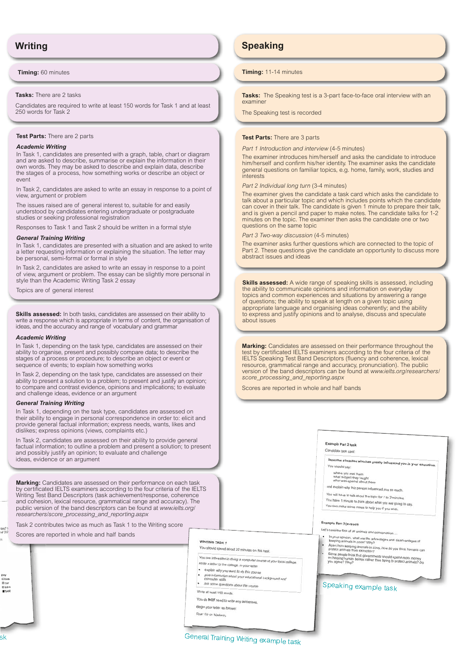**Timing:** 60 minutes

#### **Tasks:** There are 2 tasks

Candidates are required to write at least 150 words for Task 1 and at least 250 words for Task 2

#### **Test Parts:** There are 2 parts

#### *Academic Writing*

In Task 1, candidates are presented with a graph, table, chart or diagram and are asked to describe, summarise or explain the information in their own words. They may be asked to describe and explain data, describe the stages of a process, how something works or describe an object or event

In Task 2, candidates are asked to write an essay in response to a point of view, argument or problem

The issues raised are of general interest to, suitable for and easily understood by candidates entering undergraduate or postgraduate studies or seeking professional registration

Responses to Task 1 and Task 2 should be written in a formal style

#### *General Training Writing*

In Task 1, candidates are presented with a situation and are asked to write a letter requesting information or explaining the situation. The letter may be personal, semi-formal or formal in style

In Task 2, candidates are asked to write an essay in response to a point of view, argument or problem. The essay can be slightly more personal in style than the Academic Writing Task 2 essay

Topics are of general interest

**Skills assessed:** In both tasks, candidates are assessed on their ability to write a response which is appropriate in terms of content, the organisation of ideas, and the accuracy and range of vocabulary and grammar

#### *Academic Writing*

In Task 1, depending on the task type, candidates are assessed on their ability to organise, present and possibly compare data; to describe the stages of a process or procedure; to describe an object or event or sequence of events; to explain how something works

In Task 2, depending on the task type, candidates are assessed on their ability to present a solution to a problem; to present and justify an opinion; to compare and contrast evidence, opinions and implications; to evaluate and challenge ideas, evidence or an argument

#### *General Training Writing*

In Task 1, depending on the task type, candidates are assessed on their ability to engage in personal correspondence in order to: elicit and provide general factual information; express needs, wants, likes and dislikes; express opinions (views, complaints etc.)

In Task 2, candidates are assessed on their ability to provide general factual information; to outline a problem and present a solution; to present and possibly justify an opinion; to evaluate and challenge ideas, evidence or an argument

**Marking:** Candidates are assessed on their performance on each task by certificated IELTS examiners according to the four criteria of the IELTS Writing Test Band Descriptors (task achievement/response, coherence and cohesion, lexical resource, grammatical range and accuracy). The [public version of the band descriptors can be found at](www.ielts.org/researchers/score_processing_and_reporting.aspx) *www.ielts.org/ researchers/score\_processing\_and\_reporting.aspx*

Task 2 contributes twice as much as Task 1 to the Writing score

Scores are reported in whole and half bands

#### **WRITING TASK 1**

You should spend about 20 minutes on this task.

- You are interested in doing a computer se at your local college
- Write a letter to the college. In your letter explain why you want to do this course
- $\cdot$ give info.
- computer skills<br>ask some questions about the course
- Write at least 150 words
- 
- You do NOT need to write any addresses Begin your letter as follows:
- Dear Sir or Madam.
- 

**Writing Speaking**

#### **Timing:** 11-14 minutes

**Tasks:** The Speaking test is a 3-part face-to-face oral interview with an examiner

The Speaking test is recorded

#### **Test Parts:** There are 3 parts

*Part 1 Introduction and interview* (4-5 minutes)

The examiner introduces him/herself and asks the candidate to introduce him/herself and confirm his/her identity. The examiner asks the candidate general questions on familiar topics, e.g. home, family, work, studies and interests

*Part 2 Individual long turn* (3-4 minutes)

The examiner gives the candidate a task card which asks the candidate to talk about a particular topic and which includes points which the candidate can cover in their talk. The candidate is given 1 minute to prepare their talk, and is given a pencil and paper to make notes. The candidate talks for 1-2 minutes on the topic. The examiner then asks the candidate one or two questions on the same topic

*Part 3 Two-way discussion* (4-5 minutes)

The examiner asks further questions which are connected to the topic of Part 2. These questions give the candidate an opportunity to discuss more abstract issues and ideas

**Skills assessed:** A wide range of speaking skills is assessed, including the ability to communicate opinions and information on everyday topics and common experiences and situations by answering a range of questions; the ability to speak at length on a given topic using appropriate language and organising ideas coherently; and the ability to express and justify opinions and to analyse, discuss and speculate about issues

**Marking:** Candidates are assessed on their performance throughout the test by certificated IELTS examiners according to the four criteria of the IELTS Speaking Test Band Descriptors (fluency and coherence, lexical resource, grammatical range and accuracy, pronunciation). The public [version of the band descriptors can be found at](www.ielts.org/researchers/score_processing_and_reporting.aspx) *www.ielts.org/researchers/ score\_processing\_and\_reporting.aspx*

Scores are reported in whole and half bands



#### Candidate task card

Describe a teacher who has greatly influenced you in your education.<br>You should say:

where you met them<br>what subject they taught<br>what was special about them

- and explain why this person influenced you so much. bu will have to talk about the topic for 1 to 2 minutes.
- You have 1 minute to think about the topic for 1 to 2 minutes.<br>You have 1 minute to think about what you are going to say.
- You can make some notes to help you if you are go

#### Example Part 3 (extract)

- Let's consider first of all animals and conservation.
- 
- In your opinion, what are the advantages and disadvantages of<br>keeping animals in zoos? Why?<br>Apart from keeping animals in zoos, how do you think humans can<br>protect animals from extinction?
- 
- ome people think that governments should spend more money<br>h helping human beings rather than trying to protect animals? Do

Speaking example task

General Training Writing example task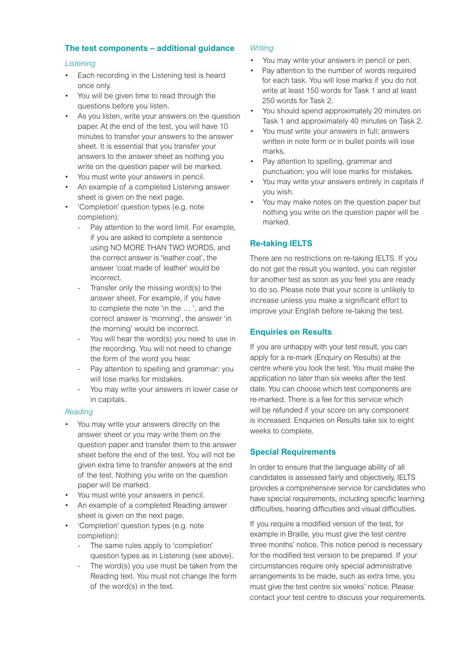#### **The test components – additional guidance**

#### *Listening*

- Each recording in the Listening test is heard once only.
- You will be given time to read through the questions before you listen.
- As you listen, write your answers on the question paper. At the end of the test, you will have 10 minutes to transfer your answers to the answer sheet. It is essential that you transfer your answers to the answer sheet as nothing you write on the question paper will be marked.
- You must write your answers in pencil.
- An example of a completed Listening answer sheet is given on the next page.
- 'Completion' question types (e.g. note completion):
	- Pay attention to the word limit. For example, if you are asked to complete a sentence using NO MORE THAN TWO WORDS, and the correct answer is 'leather coat', the answer 'coat made of leather' would be incorrect.
	- Transfer only the missing word(s) to the answer sheet. For example, if you have to complete the note 'in the  $\ldots$ ', and the correct answer is 'morning', the answer 'in the morning' would be incorrect.
	- You will hear the word(s) you need to use in the recording. You will not need to change the form of the word you hear.
	- Pay attention to spelling and grammar: you will lose marks for mistakes.
	- You may write your answers in lower case or in capitals.

#### *Reading*

- You may write your answers directly on the answer sheet or you may write them on the question paper and transfer them to the answer sheet before the end of the test. You will not be given extra time to transfer answers at the end of the test. Nothing you write on the question paper will be marked.
- You must write your answers in pencil.
- An example of a completed Reading answer sheet is given on the next page.
- 'Completion' question types (e.g. note completion):
	- The same rules apply to 'completion' question types as in Listening (see above).
	- The word(s) you use must be taken from the Reading text. You must not change the form of the word(s) in the text.

#### *Writing*

- You may write your answers in pencil or pen.
- Pay attention to the number of words required for each task. You will lose marks if you do not write at least 150 words for Task 1 and at least 250 words for Task 2.
- You should spend approximately 20 minutes on Task 1 and approximately 40 minutes on Task 2.
- You must write your answers in full: answers written in note form or in bullet points will lose marks.
- Pay attention to spelling, grammar and punctuation; you will lose marks for mistakes.
- You may write your answers entirely in capitals if you wish.
- You may make notes on the question paper but nothing you write on the question paper will be marked.

#### **Re-taking IELTS**

There are no restrictions on re-taking IELTS. If you do not get the result you wanted, you can register for another test as soon as you feel you are ready to do so. Please note that your score is unlikely to increase unless you make a significant effort to improve your English before re-taking the test.

#### **Enquiries on Results**

If you are unhappy with your test result, you can apply for a re-mark (Enquiry on Results) at the centre where you took the test. You must make the application no later than six weeks after the test date. You can choose which test components are re-marked. There is a fee for this service which will be refunded if your score on any component is increased. Enquiries on Results take six to eight weeks to complete.

#### **Special Requirements**

In order to ensure that the language ability of all candidates is assessed fairly and objectively, IELTS provides a comprehensive service for candidates who have special requirements, including specific learning difficulties, hearing difficulties and visual difficulties.

If you require a modified version of the test, for example in Braille, you must give the test centre three months' notice. This notice period is necessary for the modified test version to be prepared. If your circumstances require only special administrative arrangements to be made, such as extra time, you must give the test centre six weeks' notice. Please contact your test centre to discuss your requirements.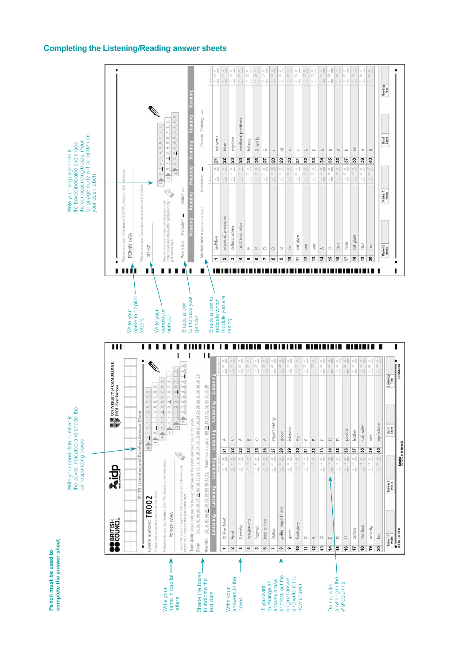#### **Completing the Listening/Reading answer sheets**



**Pencil must be used to** 

Pencil must be used to